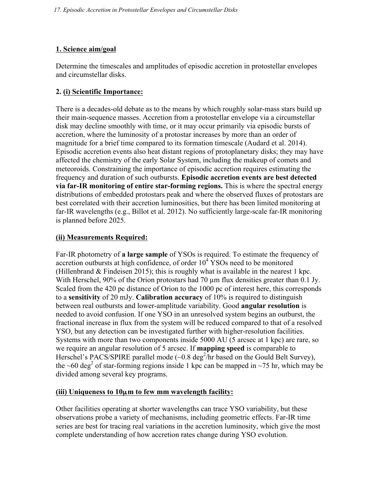# **1. Science aim/goal**

Determine the timescales and amplitudes of episodic accretion in protostellar envelopes and circumstellar disks.

## **2. (i) Scientific Importance:**

There is a decades-old debate as to the means by which roughly solar-mass stars build up their main-sequence masses. Accretion from a protostellar envelope via a circumstellar disk may decline smoothly with time, or it may occur primarily via episodic bursts of accretion, where the luminosity of a protostar increases by more than an order of magnitude for a brief time compared to its formation timescale (Audard et al. 2014). Episodic accretion events also heat distant regions of protoplanetary disks; they may have affected the chemistry of the early Solar System, including the makeup of comets and meteoroids. Constraining the importance of episodic accretion requires estimating the frequency and duration of such outbursts. **Episodic accretion events are best detected via far-IR monitoring of entire star-forming regions.** This is where the spectral energy distributions of embedded protostars peak and where the observed fluxes of protostars are best correlated with their accretion luminosities, but there has been limited monitoring at far-IR wavelengths (e.g., Billot et al. 2012). No sufficiently large-scale far-IR monitoring is planned before 2025.

# **(ii) Measurements Required:**

Far-IR photometry of **a large sample** of YSOs is required. To estimate the frequency of accretion outbursts at high confidence, of order  $10<sup>4</sup>$  YSOs need to be monitored (Hillenbrand  $&$  Findeisen 2015); this is roughly what is available in the nearest 1 kpc. With Herschel, 90% of the Orion protostars had 70  $\mu$ m flux densities greater than 0.1 Jy. Scaled from the 420 pc distance of Orion to the 1000 pc of interest here, this corresponds to a **sensitivity** of 20 mJy. **Calibration accuracy** of 10% is required to distinguish between real outbursts and lower-amplitude variability. Good **angular resolution** is needed to avoid confusion. If one YSO in an unresolved system begins an outburst, the fractional increase in flux from the system will be reduced compared to that of a resolved YSO, but any detection can be investigated further with higher-resolution facilities. Systems with more than two components inside 5000 AU (5 arcsec at 1 kpc) are rare, so we require an angular resolution of 5 arcsec. If **mapping speed** is comparable to Herschel's PACS/SPIRE parallel mode  $(\sim 0.8 \text{ deg}^2/\text{hr})$  based on the Gould Belt Survey), the ~60 deg<sup>2</sup> of star-forming regions inside 1 kpc can be mapped in ~75 hr, which may be divided among several key programs.

### **(iii) Uniqueness to 10**µ**m to few mm wavelength facility:**

Other facilities operating at shorter wavelengths can trace YSO variability, but these observations probe a variety of mechanisms, including geometric effects. Far-IR time series are best for tracing real variations in the accretion luminosity, which give the most complete understanding of how accretion rates change during YSO evolution.